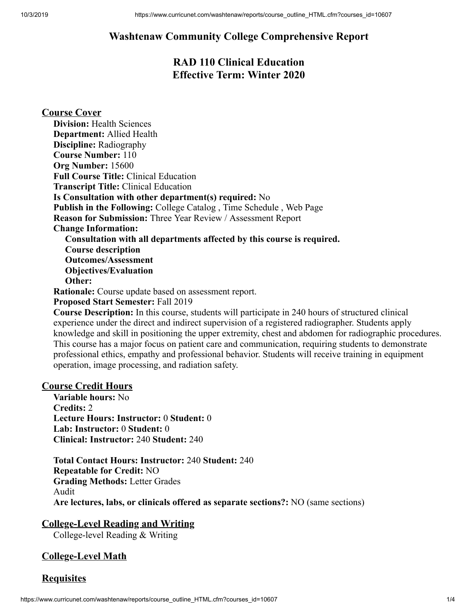# **Washtenaw Community College Comprehensive Report**

# **RAD 110 Clinical Education Effective Term: Winter 2020**

**Course Cover Division:** Health Sciences **Department:** Allied Health **Discipline:** Radiography **Course Number:** 110 **Org Number:** 15600 **Full Course Title:** Clinical Education **Transcript Title:** Clinical Education **Is Consultation with other department(s) required:** No **Publish in the Following:** College Catalog , Time Schedule , Web Page **Reason for Submission:** Three Year Review / Assessment Report **Change Information: Consultation with all departments affected by this course is required. Course description Outcomes/Assessment Objectives/Evaluation Other: Rationale:** Course update based on assessment report.

**Proposed Start Semester:** Fall 2019

**Course Description:** In this course, students will participate in 240 hours of structured clinical experience under the direct and indirect supervision of a registered radiographer. Students apply knowledge and skill in positioning the upper extremity, chest and abdomen for radiographic procedures. This course has a major focus on patient care and communication, requiring students to demonstrate professional ethics, empathy and professional behavior. Students will receive training in equipment operation, image processing, and radiation safety.

#### **Course Credit Hours**

**Variable hours:** No **Credits:** 2 **Lecture Hours: Instructor:** 0 **Student:** 0 **Lab: Instructor:** 0 **Student:** 0 **Clinical: Instructor:** 240 **Student:** 240

**Total Contact Hours: Instructor:** 240 **Student:** 240 **Repeatable for Credit:** NO **Grading Methods:** Letter Grades Audit **Are lectures, labs, or clinicals offered as separate sections?:** NO (same sections)

## **College-Level Reading and Writing**

College-level Reading & Writing

## **College-Level Math**

#### **Requisites**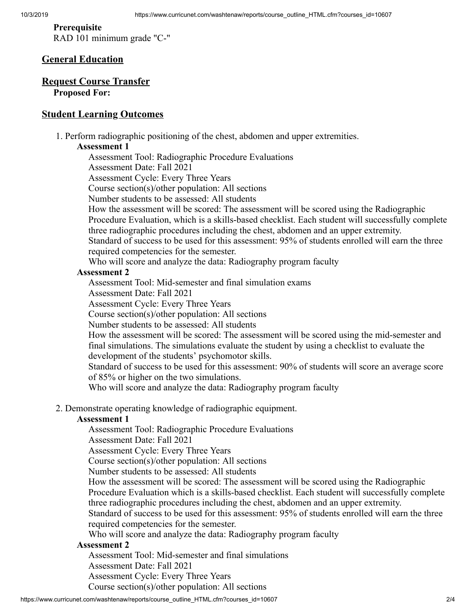#### **Prerequisite** RAD 101 minimum grade "C-"

#### **General Education**

#### **Request Course Transfer Proposed For:**

#### **Student Learning Outcomes**

1. Perform radiographic positioning of the chest, abdomen and upper extremities.

#### **Assessment 1**

Assessment Tool: Radiographic Procedure Evaluations

Assessment Date: Fall 2021

Assessment Cycle: Every Three Years

Course section(s)/other population: All sections

Number students to be assessed: All students

How the assessment will be scored: The assessment will be scored using the Radiographic Procedure Evaluation, which is a skills-based checklist. Each student will successfully complete

three radiographic procedures including the chest, abdomen and an upper extremity.

Standard of success to be used for this assessment: 95% of students enrolled will earn the three required competencies for the semester.

Who will score and analyze the data: Radiography program faculty

#### **Assessment 2**

Assessment Tool: Mid-semester and final simulation exams

Assessment Date: Fall 2021

Assessment Cycle: Every Three Years

Course section(s)/other population: All sections

Number students to be assessed: All students

How the assessment will be scored: The assessment will be scored using the mid-semester and final simulations. The simulations evaluate the student by using a checklist to evaluate the development of the students' psychomotor skills.

Standard of success to be used for this assessment: 90% of students will score an average score of 85% or higher on the two simulations.

Who will score and analyze the data: Radiography program faculty

2. Demonstrate operating knowledge of radiographic equipment.

### **Assessment 1**

Assessment Tool: Radiographic Procedure Evaluations

Assessment Date: Fall 2021

Assessment Cycle: Every Three Years

Course section(s)/other population: All sections

Number students to be assessed: All students

How the assessment will be scored: The assessment will be scored using the Radiographic Procedure Evaluation which is a skills-based checklist. Each student will successfully complete three radiographic procedures including the chest, abdomen and an upper extremity.

Standard of success to be used for this assessment: 95% of students enrolled will earn the three required competencies for the semester.

Who will score and analyze the data: Radiography program faculty

#### **Assessment 2**

Assessment Tool: Mid-semester and final simulations

Assessment Date: Fall 2021

Assessment Cycle: Every Three Years

Course section(s)/other population: All sections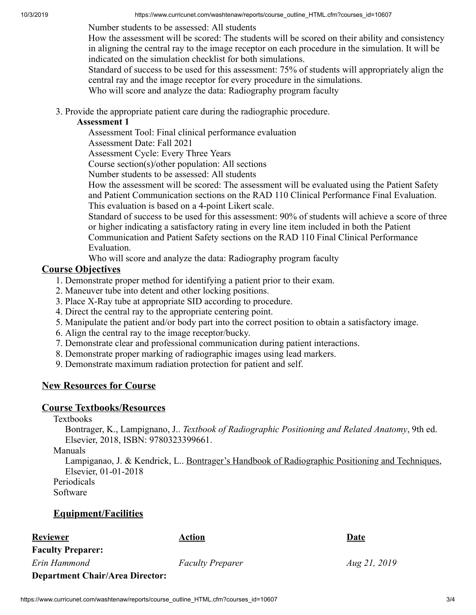Number students to be assessed: All students

How the assessment will be scored: The students will be scored on their ability and consistency in aligning the central ray to the image receptor on each procedure in the simulation. It will be indicated on the simulation checklist for both simulations.

Standard of success to be used for this assessment: 75% of students will appropriately align the central ray and the image receptor for every procedure in the simulations.

Who will score and analyze the data: Radiography program faculty

3. Provide the appropriate patient care during the radiographic procedure.

#### **Assessment 1**

Assessment Tool: Final clinical performance evaluation

Assessment Date: Fall 2021

Assessment Cycle: Every Three Years

Course section(s)/other population: All sections

Number students to be assessed: All students

How the assessment will be scored: The assessment will be evaluated using the Patient Safety and Patient Communication sections on the RAD 110 Clinical Performance Final Evaluation. This evaluation is based on a 4-point Likert scale.

Standard of success to be used for this assessment: 90% of students will achieve a score of three or higher indicating a satisfactory rating in every line item included in both the Patient Communication and Patient Safety sections on the RAD 110 Final Clinical Performance Evaluation.

Who will score and analyze the data: Radiography program faculty

## **Course Objectives**

- 1. Demonstrate proper method for identifying a patient prior to their exam.
- 2. Maneuver tube into detent and other locking positions.
- 3. Place X-Ray tube at appropriate SID according to procedure.
- 4. Direct the central ray to the appropriate centering point.
- 5. Manipulate the patient and/or body part into the correct position to obtain a satisfactory image.
- 6. Align the central ray to the image receptor/bucky.
- 7. Demonstrate clear and professional communication during patient interactions.
- 8. Demonstrate proper marking of radiographic images using lead markers.
- 9. Demonstrate maximum radiation protection for patient and self.

## **New Resources for Course**

## **Course Textbooks/Resources**

#### **Textbooks**

Bontrager, K., Lampignano, J.. *Textbook of Radiographic Positioning and Related Anatomy*, 9th ed. Elsevier, 2018, ISBN: 9780323399661.

#### Manuals

Lampiganao, J. & Kendrick, L.. Bontrager's Handbook of Radiographic Positioning and Techniques, Elsevier, 01-01-2018

Periodicals

Software

## **Equipment/Facilities**

| <b>Reviewer</b>                        | Action                  | Date         |
|----------------------------------------|-------------------------|--------------|
| <b>Faculty Preparer:</b>               |                         |              |
| Erin Hammond                           | <b>Faculty Preparer</b> | Aug 21, 2019 |
| <b>Department Chair/Area Director:</b> |                         |              |